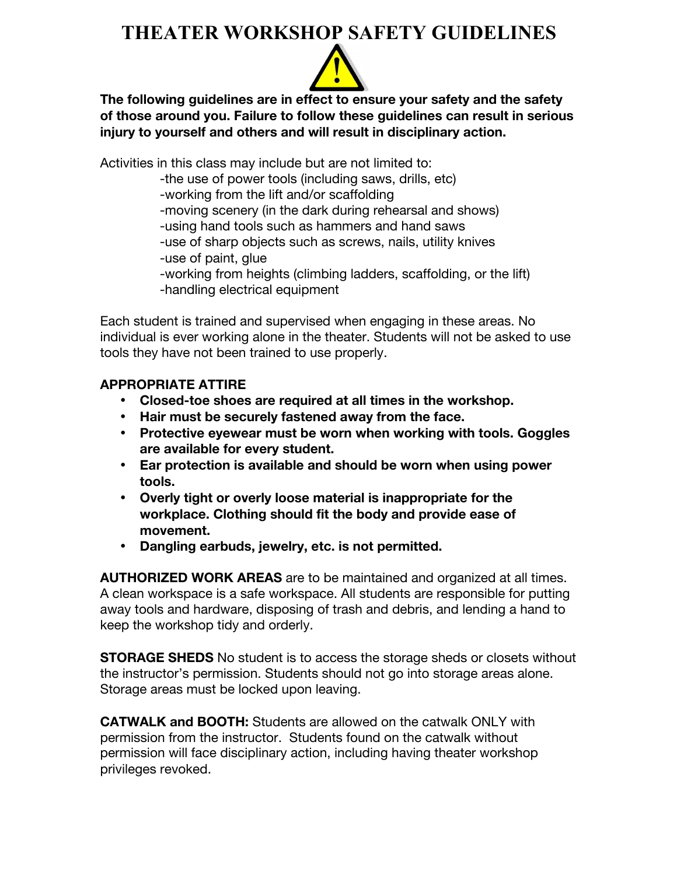#### **THEATER WORKSHOP SAFETY GUIDELINES**



**The following guidelines are in effect to ensure your safety and the safety of those around you. Failure to follow these guidelines can result in serious injury to yourself and others and will result in disciplinary action.**

Activities in this class may include but are not limited to:

-the use of power tools (including saws, drills, etc)

-working from the lift and/or scaffolding

-moving scenery (in the dark during rehearsal and shows)

-using hand tools such as hammers and hand saws

-use of sharp objects such as screws, nails, utility knives

-use of paint, glue

-working from heights (climbing ladders, scaffolding, or the lift) -handling electrical equipment

Each student is trained and supervised when engaging in these areas. No individual is ever working alone in the theater. Students will not be asked to use tools they have not been trained to use properly.

#### **APPROPRIATE ATTIRE**

- **Closed-toe shoes are required at all times in the workshop.**
- **Hair must be securely fastened away from the face.**
- **Protective eyewear must be worn when working with tools. Goggles are available for every student.**
- **Ear protection is available and should be worn when using power tools.**
- **Overly tight or overly loose material is inappropriate for the workplace. Clothing should fit the body and provide ease of movement.**
- **Dangling earbuds, jewelry, etc. is not permitted.**

**AUTHORIZED WORK AREAS** are to be maintained and organized at all times. A clean workspace is a safe workspace. All students are responsible for putting away tools and hardware, disposing of trash and debris, and lending a hand to keep the workshop tidy and orderly.

**STORAGE SHEDS** No student is to access the storage sheds or closets without the instructor's permission. Students should not go into storage areas alone. Storage areas must be locked upon leaving.

**CATWALK and BOOTH:** Students are allowed on the catwalk ONLY with permission from the instructor. Students found on the catwalk without permission will face disciplinary action, including having theater workshop privileges revoked.